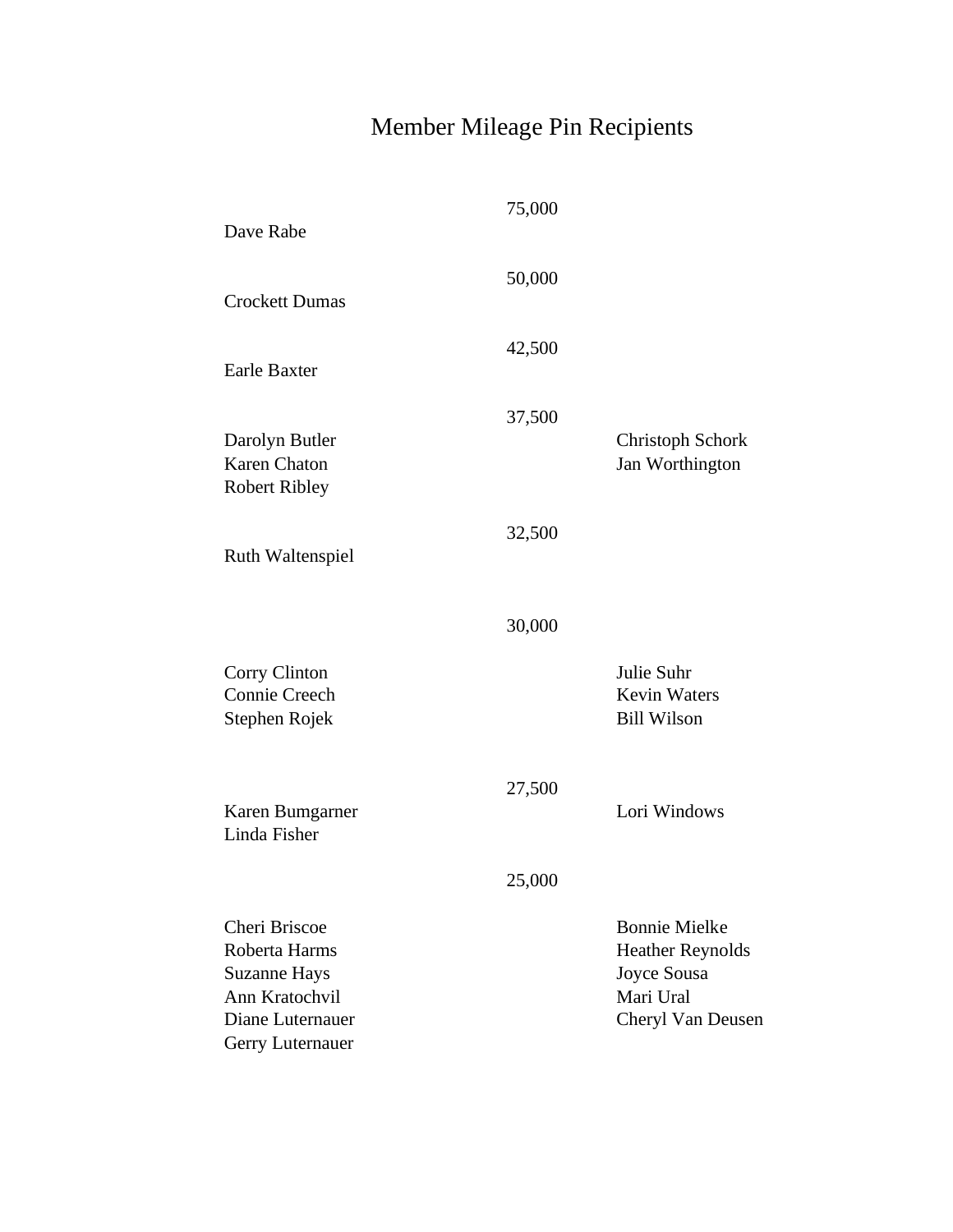# Member Mileage Pin Recipients

| Dave Rabe                                                                                                       | 75,000 |                                                                                                  |
|-----------------------------------------------------------------------------------------------------------------|--------|--------------------------------------------------------------------------------------------------|
| <b>Crockett Dumas</b>                                                                                           | 50,000 |                                                                                                  |
| <b>Earle Baxter</b>                                                                                             | 42,500 |                                                                                                  |
| Darolyn Butler<br><b>Karen Chaton</b><br><b>Robert Ribley</b>                                                   | 37,500 | <b>Christoph Schork</b><br>Jan Worthington                                                       |
| <b>Ruth Waltenspiel</b>                                                                                         | 32,500 |                                                                                                  |
|                                                                                                                 | 30,000 |                                                                                                  |
| Corry Clinton<br>Connie Creech<br>Stephen Rojek                                                                 |        | Julie Suhr<br><b>Kevin Waters</b><br><b>Bill Wilson</b>                                          |
| Karen Bumgarner<br>Linda Fisher                                                                                 | 27,500 | Lori Windows                                                                                     |
|                                                                                                                 | 25,000 |                                                                                                  |
| Cheri Briscoe<br>Roberta Harms<br><b>Suzanne Hays</b><br>Ann Kratochvil<br>Diane Luternauer<br>Gerry Luternauer |        | <b>Bonnie Mielke</b><br><b>Heather Reynolds</b><br>Joyce Sousa<br>Mari Ural<br>Cheryl Van Deusen |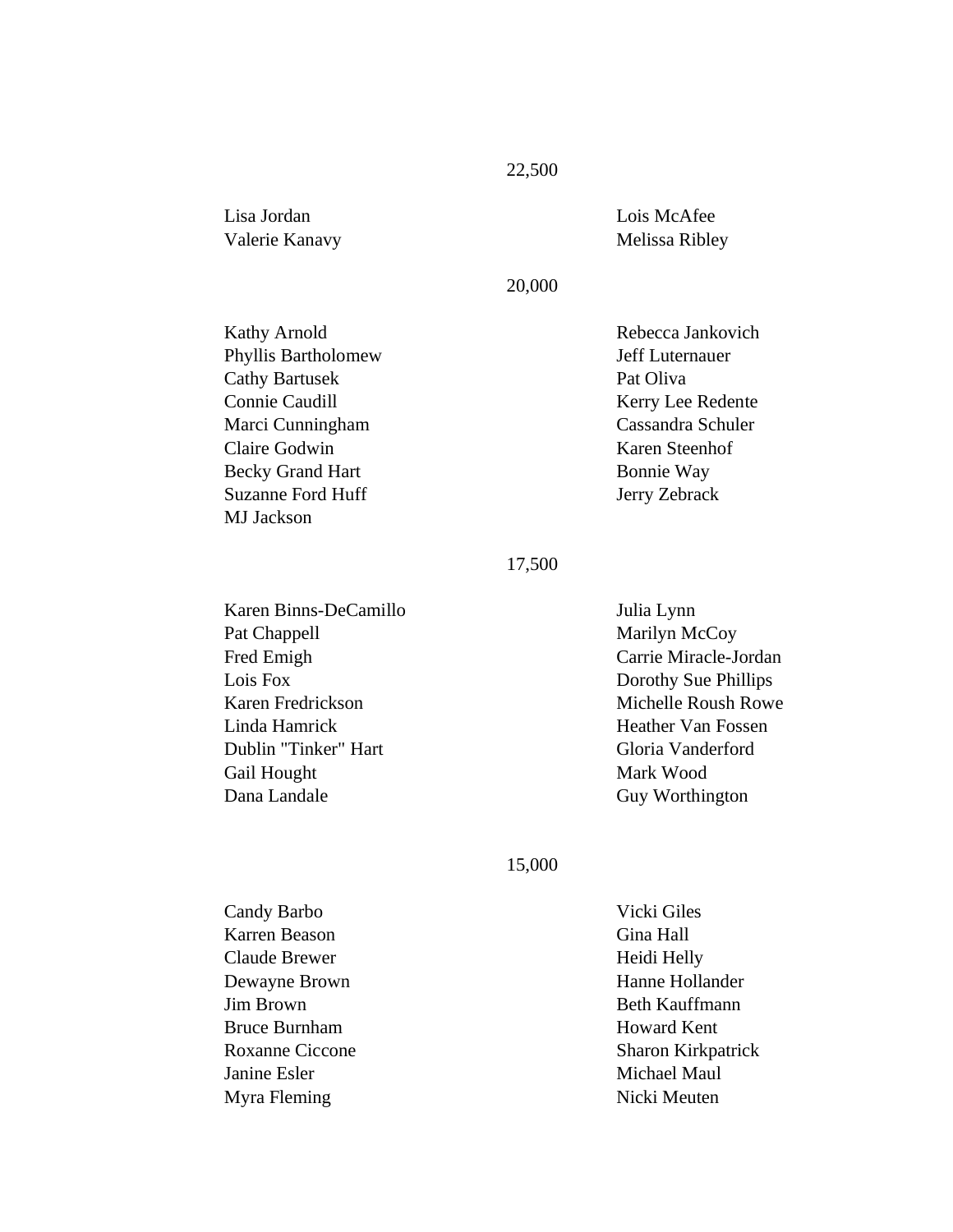## Lisa Jordan Valerie Kanavy

#### 20,000

Kathy Arnold Phyllis Bartholomew Cathy Bartusek Connie Caudill Marci Cunningham Claire Godwin Becky Grand Hart Suzanne Ford Huff MJ Jackson

## Rebecca Jankovich Jeff Luternauer Pat Oliva Kerry Lee Redente Cassandra Schuler Karen Steenhof Bonnie Way Jerry Zebrack

Lois McAfee Melissa Ribley

### 17,500

Karen Binns-DeCamillo Pat Chappell Fred Emigh Lois Fox Karen Fredrickson Linda Hamrick Dublin "Tinker" Hart Gail Hought Dana Landale

## Julia Lynn Marilyn McCoy Carrie Miracle-Jordan Dorothy Sue Phillips Michelle Roush Rowe Heather Van Fossen Gloria Vanderford Mark Wood Guy Worthington

#### 15,000

Candy Barbo Karren Beason Claude Brewer Dewayne Brown Jim Brown Bruce Burnham Roxanne Ciccone Janine Esler Myra Fleming

Vicki Giles Gina Hall Heidi Helly Hanne Hollander Beth Kauffmann Howard Kent Sharon Kirkpatrick Michael Maul Nicki Meuten

#### 22,500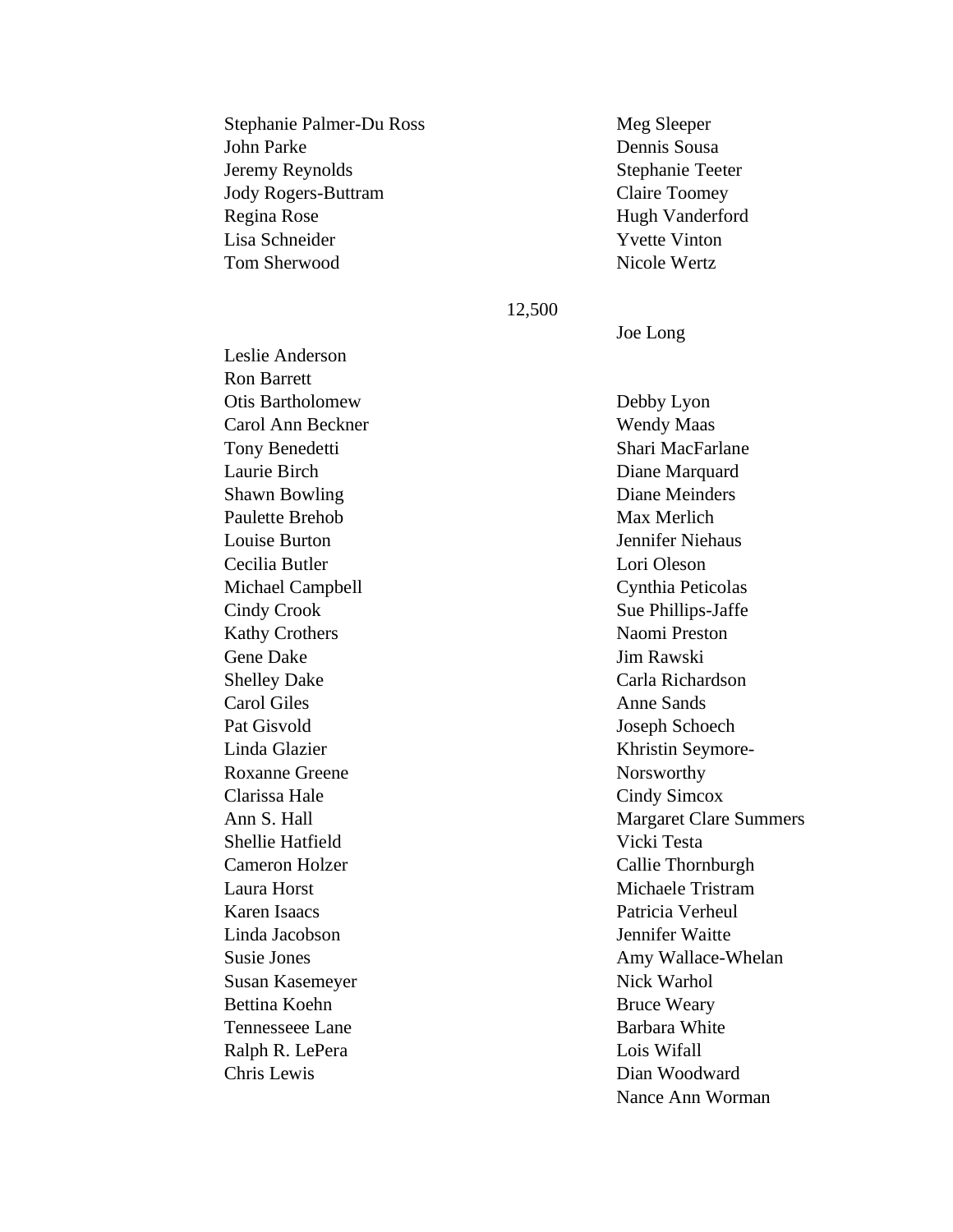| Stephanie Palmer-Du Ross |
|--------------------------|
| John Parke               |
| Jeremy Reynolds          |
| Jody Rogers-Buttram      |
| Regina Rose              |
| Lisa Schneider           |
| Tom Sherwood             |

Meg Sleeper Dennis Sousa Stephanie Teeter Claire Toomey Hugh Vanderford Yvette Vinton Nicole Wertz

#### 12,500

Joe Long

Leslie Anderson Ron Barrett Otis Bartholomew Carol Ann Beckner Tony Benedetti Laurie Birch Shawn Bowling Paulette Brehob Louise Burton Cecilia Butler Michael Campbell Cindy Crook Kathy Crothers Gene Dake Shelley Dake Carol Giles Pat Gisvold Linda Glazier Roxanne Greene Clarissa Hale Ann S. Hall Shellie Hatfield Cameron Holzer Laura Horst Karen Isaacs Linda Jacobson Susie Jones Susan Kasemeyer Bettina Koehn Tennesseee Lane Ralph R. LePera Chris Lewis

Debby Lyon Wendy Maas Shari MacFarlane Diane Marquard Diane Meinders Max Merlich Jennifer Niehaus Lori Oleson Cynthia Peticolas Sue Phillips-Jaffe Naomi Preston Jim Rawski Carla Richardson Anne Sands Joseph Schoech Khristin Seymore-Norsworthy Cindy Simcox Margaret Clare Summers Vicki Testa Callie Thornburgh Michaele Tristram Patricia Verheul Jennifer Waitte Amy Wallace-Whelan Nick Warhol Bruce Weary Barbara White Lois Wifall Dian Woodward Nance Ann Worman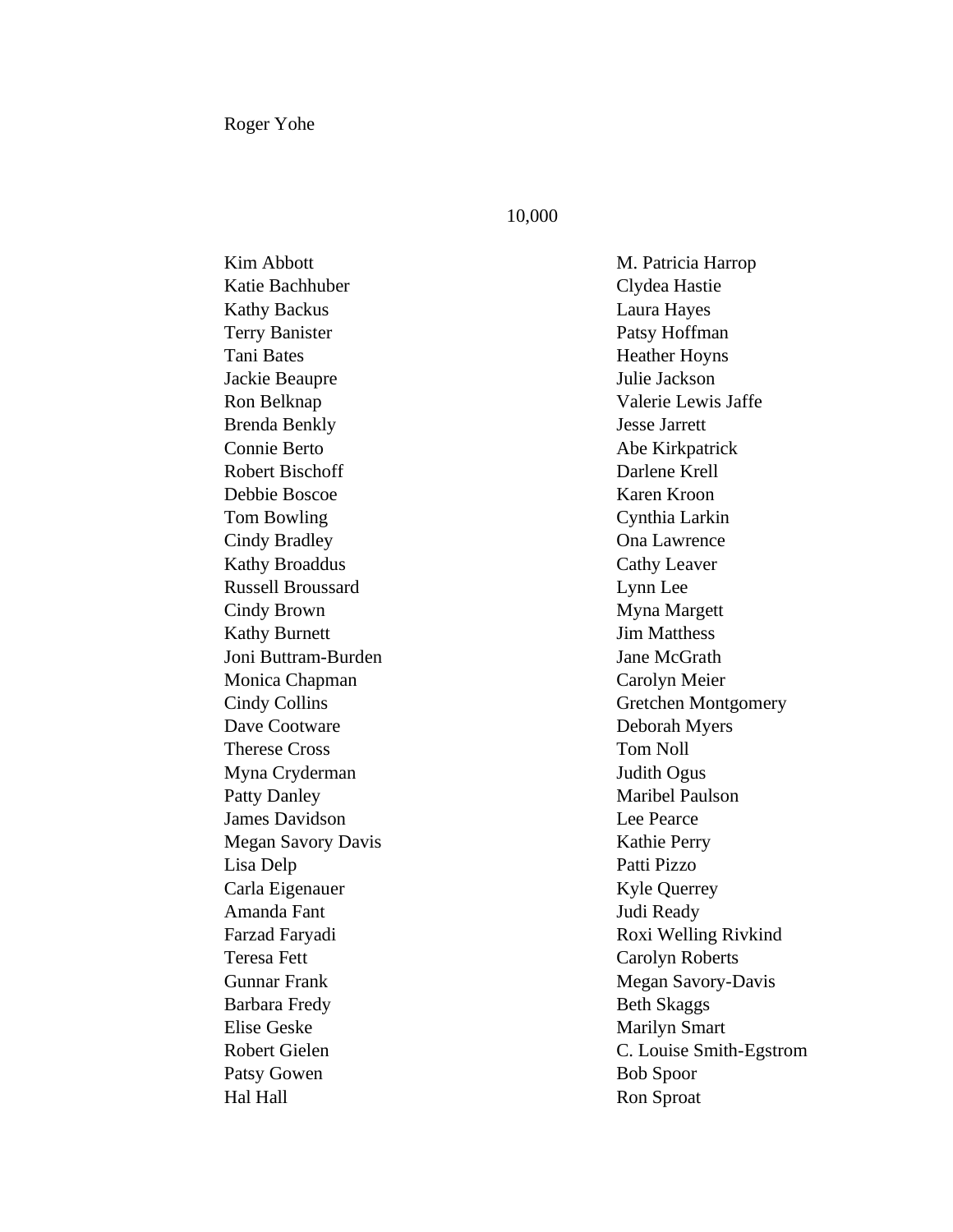Roger Yohe

#### 10,000

Kim Abbott Katie Bachhuber Kathy Backus Terry Banister Tani Bates Jackie Beaupre Ron Belknap Brenda Benkly Connie Berto Robert Bischoff Debbie Boscoe Tom Bowling Cindy Bradley Kathy Broaddus Russell Broussard Cindy Brown Kathy Burnett Joni Buttram-Burden Monica Chapman Cindy Collins Dave Cootware Therese Cross Myna Cryderman Patty Danley James Davidson Megan Savory Davis Lisa Delp Carla Eigenauer Amanda Fant Farzad Faryadi Teresa Fett Gunnar Frank Barbara Fredy Elise Geske Robert Gielen Patsy Gowen Hal Hall

M. Patricia Harrop Clydea Hastie Laura Hayes Patsy Hoffman Heather Hoyns Julie Jackson Valerie Lewis Jaffe Jesse Jarrett Abe Kirkpatrick Darlene Krell Karen Kroon Cynthia Larkin Ona Lawrence Cathy Leaver Lynn Lee Myna Margett Jim Matthess Jane McGrath Carolyn Meier Gretchen Montgomery Deborah Myers Tom Noll Judith Ogus Maribel Paulson Lee Pearce Kathie Perry Patti Pizzo Kyle Querrey Judi Ready Roxi Welling Rivkind Carolyn Roberts Megan Savory-Davis Beth Skaggs Marilyn Smart C. Louise Smith-Egstrom Bob Spoor Ron Sproat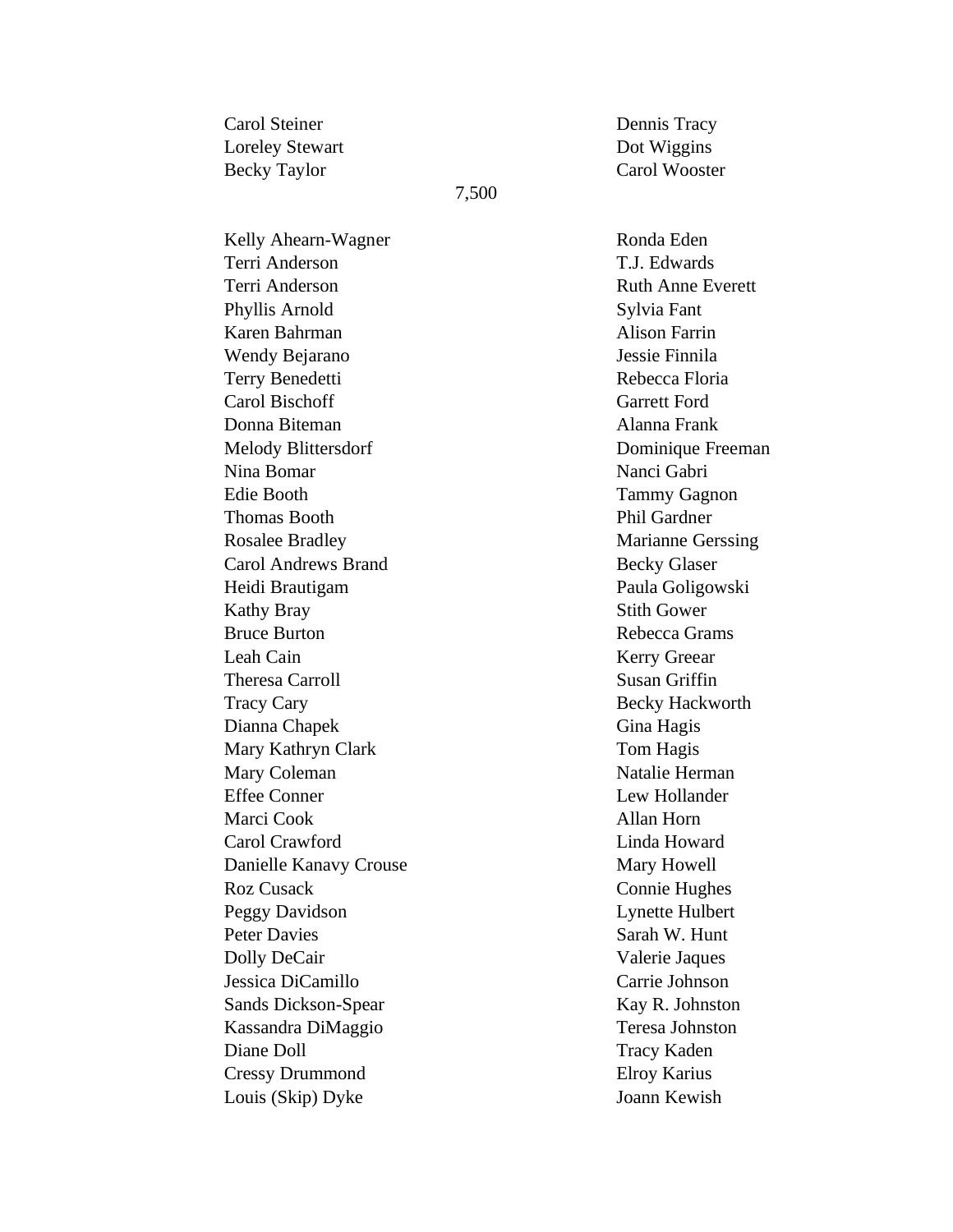Carol Steiner Loreley Stewart Becky Taylor

#### 7,500

Kelly Ahearn-Wagner Terri Anderson Terri Anderson Phyllis Arnold Karen Bahrman Wendy Bejarano Terry Benedetti Carol Bischoff Donna Biteman Melody Blittersdorf Nina Bomar Edie Booth Thomas Booth Rosalee Bradley Carol Andrews Brand Heidi Brautigam Kathy Bray Bruce Burton Leah Cain Theresa Carroll Tracy Cary Dianna Chapek Mary Kathryn Clark Mary Coleman Effee Conner Marci Cook Carol Crawford Danielle Kanavy Crouse Roz Cusack Peggy Davidson Peter Davies Dolly DeCair Jessica DiCamillo Sands Dickson-Spear Kassandra DiMaggio Diane Doll Cressy Drummond Louis (Skip) Dyke

Dennis Tracy Dot Wiggins Carol Wooster

Ronda Eden T.J. Edwards Ruth Anne Everett Sylvia Fant Alison Farrin Jessie Finnila Rebecca Floria Garrett Ford Alanna Frank Dominique Freeman Nanci Gabri Tammy Gagnon Phil Gardner Marianne Gerssing Becky Glaser Paula Goligowski Stith Gower Rebecca Grams Kerry Greear Susan Griffin Becky Hackworth Gina Hagis Tom Hagis Natalie Herman Lew Hollander Allan Horn Linda Howard Mary Howell Connie Hughes Lynette Hulbert Sarah W. Hunt Valerie Jaques Carrie Johnson Kay R. Johnston Teresa Johnston Tracy Kaden Elroy Karius Joann Kewish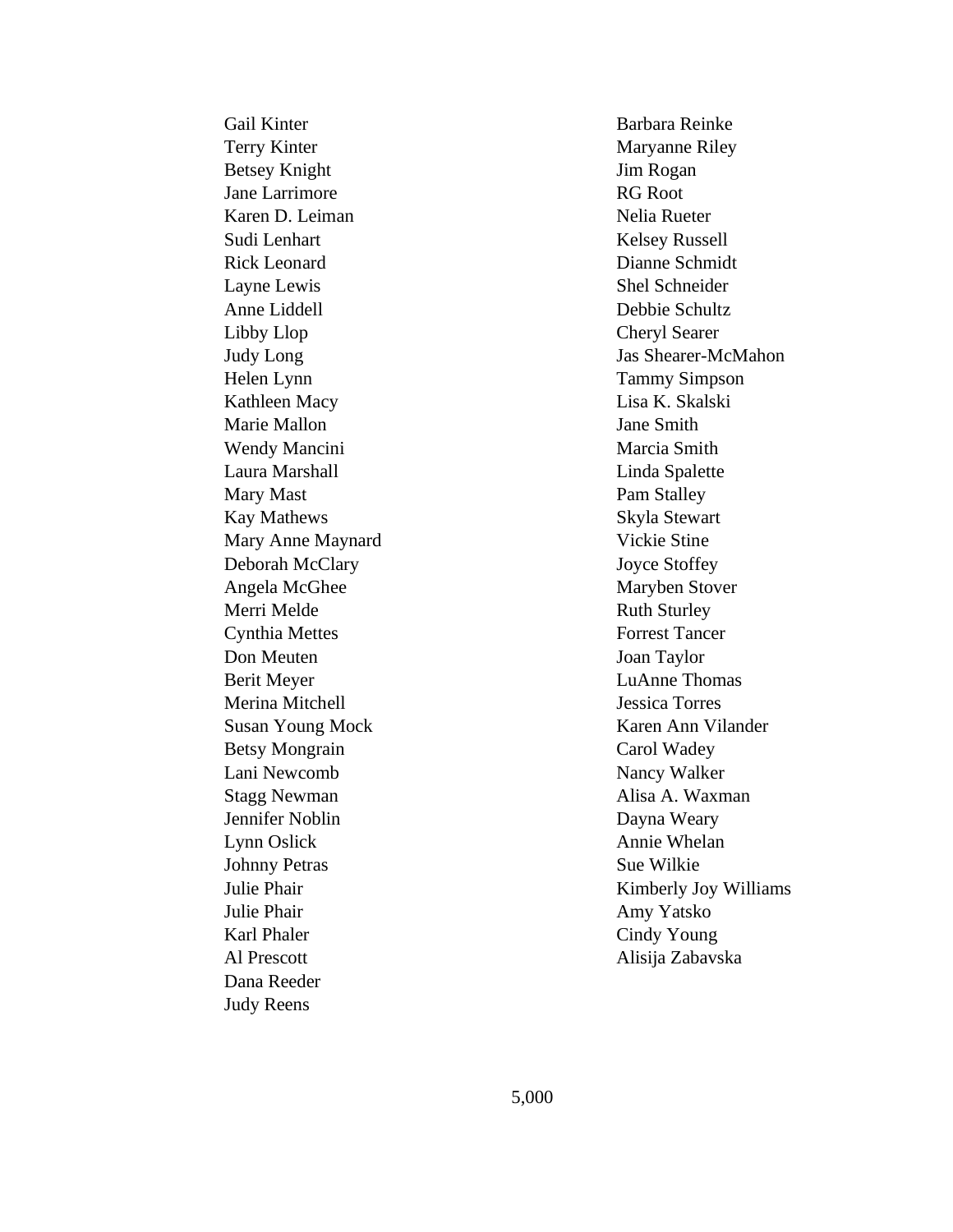Gail Kinter Terry Kinter Betsey Knight Jane Larrimore Karen D. Leiman Sudi Lenhart Rick Leonard Layne Lewis Anne Liddell Libby Llop Judy Long Helen Lynn Kathleen Macy Marie Mallon Wendy Mancini Laura Marshall Mary Mast Kay Mathews Mary Anne Maynard Deborah McClary Angela McGhee Merri Melde Cynthia Mettes Don Meuten Berit Meyer Merina Mitchell Susan Young Mock Betsy Mongrain Lani Newcomb Stagg Newman Jennifer Noblin Lynn Oslick Johnny Petras Julie Phair Julie Phair Karl Phaler Al Prescott Dana Reeder Judy Reens

Barbara Reinke Maryanne Riley Jim Rogan RG Root Nelia Rueter Kelsey Russell Dianne Schmidt Shel Schneider Debbie Schultz Cheryl Searer Jas Shearer-McMahon Tammy Simpson Lisa K. Skalski Jane Smith Marcia Smith Linda Spalette Pam Stalley Skyla Stewart Vickie Stine Joyce Stoffey Maryben Stover Ruth Sturley Forrest Tancer Joan Taylor LuAnne Thomas Jessica Torres Karen Ann Vilander Carol Wadey Nancy Walker Alisa A. Waxman Dayna Weary Annie Whelan Sue Wilkie Kimberly Joy Williams Amy Yatsko Cindy Young Alisija Zabavska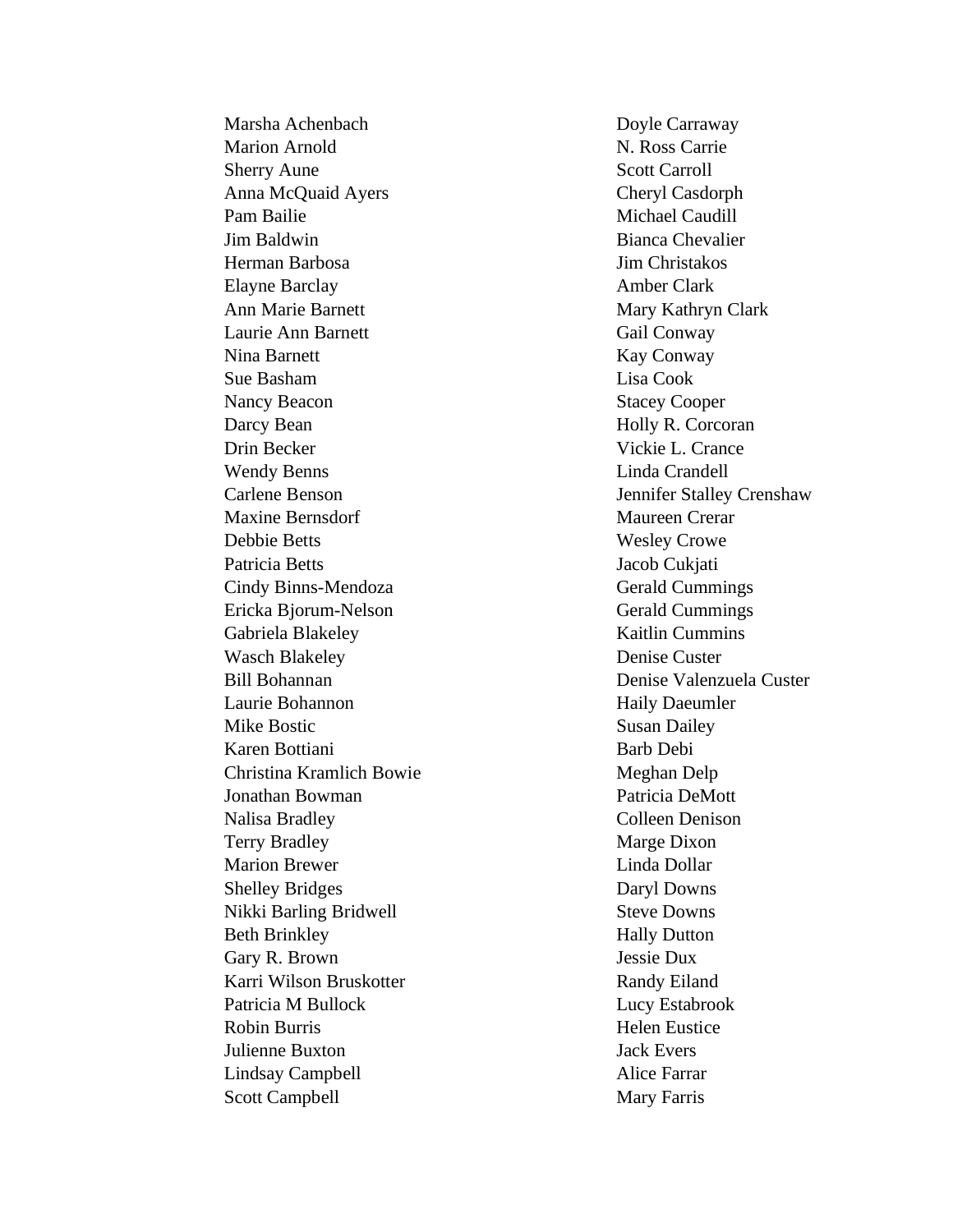Marsha Achenbach Marion Arnold Sherry Aune Anna McQuaid Ayers Pam Bailie Jim Baldwin Herman Barbosa Elayne Barclay Ann Marie Barnett Laurie Ann Barnett Nina Barnett Sue Basham Nancy Beacon Darcy Bean Drin Becker Wendy Benns Carlene Benson Maxine Bernsdorf Debbie Betts Patricia Betts Cindy Binns -Mendoza Ericka Bjorum -Nelson Gabriela Blakeley Wasch Blakeley Bill Bohannan Laurie Bohannon Mike Bostic Karen Bottiani Christina Kramlich Bowie Jonathan Bowman Nalisa Bradley Terry Bradley Marion Brewer Shelley Bridges Nikki Barling Bridwell Beth Brinkley Gary R. Brown Karri Wilson Bruskotter Patricia M Bullock Robin Burris Julienne Buxton Lindsay Campbell Scott Campbell

Doyle Carraway N. Ross Carrie Scott Carroll Cheryl Casdorph Michael Caudill Bianca Chevalier Jim Christakos Amber Clark Mary Kathryn Clark Gail Conway Kay Conway Lisa Cook Stacey Cooper Holly R. Corcoran Vickie L. Crance Linda Crandell Jennifer Stalley Crenshaw Maureen Crerar Wesley Crowe Jacob Cukjati Gerald Cummings Gerald Cummings Kaitlin Cummins Denise Custer Denise Valenzuela Custer Haily Daeumler Susan Dailey Barb Debi Meghan Delp Patricia DeMott Colleen Denison Marge Dixon Linda Dollar Daryl Downs Steve Downs Hally Dutton Jessie Dux Randy Eiland Lucy Estabrook Helen Eustice Jack Evers Alice Farrar Mary Farris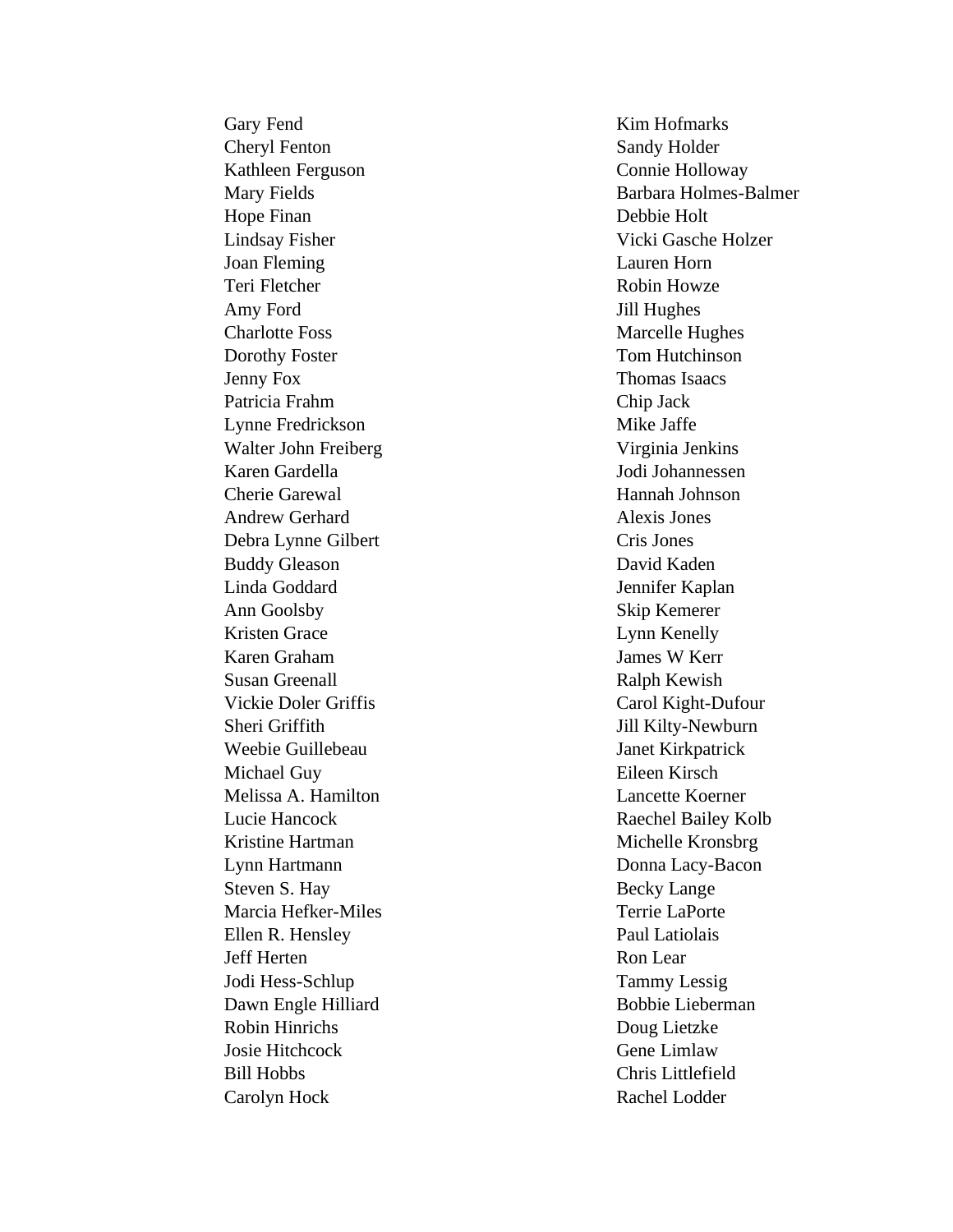Gary Fend Cheryl Fenton Kathleen Ferguson Mary Fields Hope Finan Lindsay Fisher Joan Fleming Teri Fletcher Amy Ford Charlotte Foss Dorothy Foster Jenny Fox Patricia Frahm Lynne Fredrickson Walter John Freiberg Karen Gardella Cherie Garewal Andrew Gerhard Debra Lynne Gilbert Buddy Gleason Linda Goddard Ann Goolsby Kristen Grace Karen Graham Susan Greenall Vickie Doler Griffis Sheri Griffith Weebie Guillebeau Michael Guy Melissa A. Hamilton Lucie Hancock Kristine Hartman Lynn Hartmann Steven S. Hay Marcia Hefker -Miles Ellen R. Hensley Jeff Herten Jodi Hess -Schlup Dawn Engle Hilliard Robin Hinrichs Josie Hitchcock Bill Hobbs Carolyn Hock

Kim Hofmarks Sandy Holder Connie Holloway Barbara Holmes -Balmer Debbie Holt Vicki Gasche Holzer Lauren Horn Robin Howze Jill Hughes Marcelle Hughes Tom Hutchinson Thomas Isaacs Chip Jack Mike Jaffe Virginia Jenkins Jodi Johannessen Hannah Johnson Alexis Jones Cris Jones David Kaden Jennifer Kaplan Skip Kemerer Lynn Kenelly James W Kerr Ralph Kewish Carol Kight -Dufour Jill Kilty -Newburn Janet Kirkpatrick Eileen Kirsch Lancette Koerner Raechel Bailey Kolb Michelle Kronsbrg Donna Lacy -Bacon Becky Lange Terrie LaPorte Paul Latiolais Ron Lear Tammy Lessig Bobbie Lieberman Doug Lietzke Gene Limlaw Chris Littlefield Rachel Lodder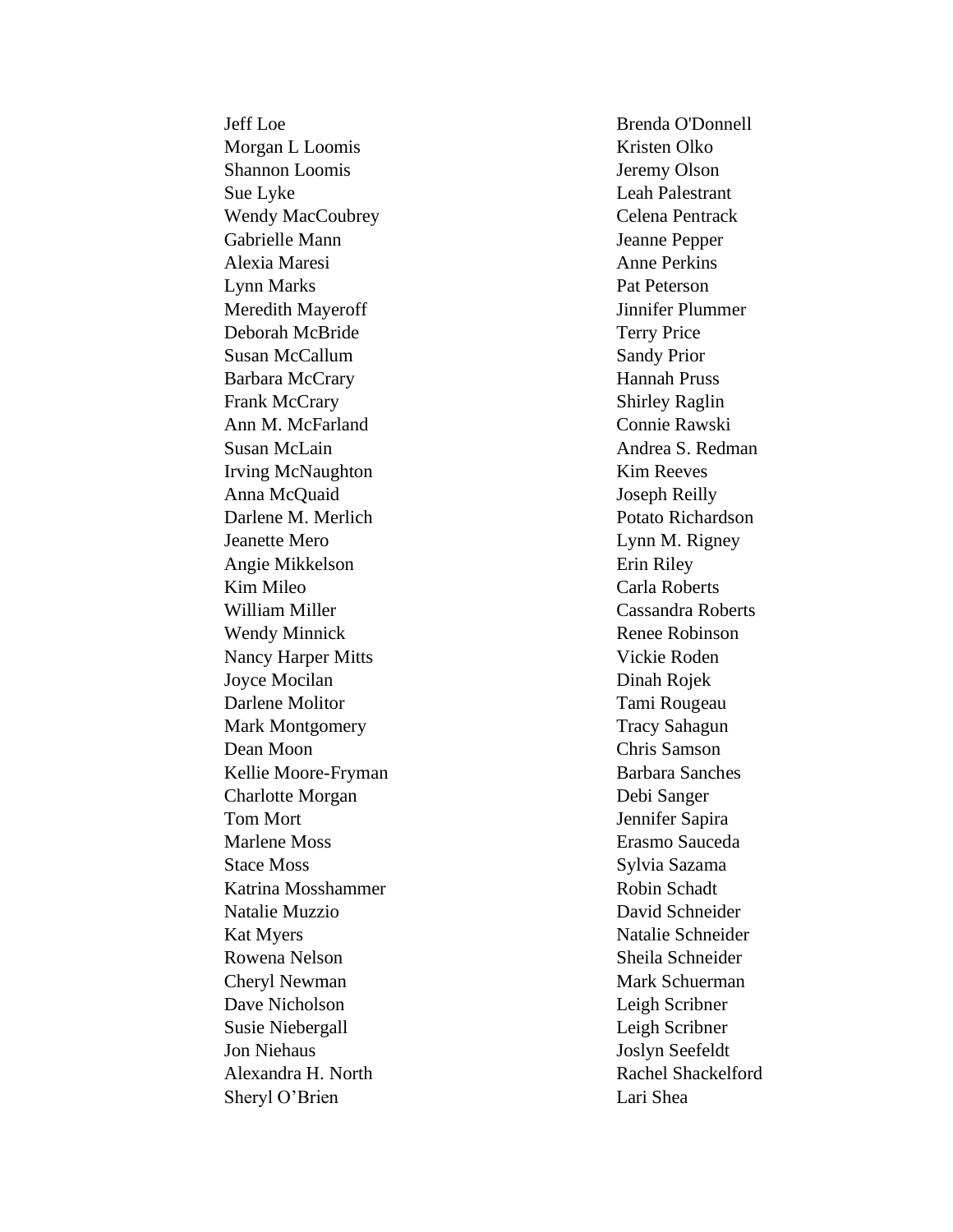Jeff Loe Morgan L Loomis Shannon Loomis Sue Lyke Wendy MacCoubrey Gabrielle Mann Alexia Maresi Lynn Marks Meredith Mayeroff Deborah McBride Susan McCallum Barbara McCrary Frank McCrary Ann M. McFarland Susan McLain Irving McNaughton Anna McQuaid Darlene M. Merlich Jeanette Mero Angie Mikkelson Kim Mileo William Miller Wendy Minnick Nancy Harper Mitts Joyce Mocilan Darlene Molitor Mark Montgomery Dean Moon Kellie Moore -Fryman Charlotte Morgan Tom Mort Marlene Moss Stace Moss Katrina Mosshammer Natalie Muzzio Kat Myers Rowena Nelson Cheryl Newman Dave Nicholson Susie Niebergall Jon Niehaus Alexandra H. North Sheryl O'Brien

Brenda O'Donnell Kristen Olko Jeremy Olson Leah Palestrant Celena Pentrack Jeanne Pepper Anne Perkins Pat Peterson Jinnifer Plummer Terry Price Sandy Prior Hannah Pruss Shirley Raglin Connie Rawski Andrea S. Redman Kim Reeves Joseph Reilly Potato Richardson Lynn M. Rigney Erin Riley Carla Roberts Cassandra Roberts Renee Robinson Vickie Roden Dinah Rojek Tami Rougeau Tracy Sahagun Chris Samson Barbara Sanches Debi Sanger Jennifer Sapira Erasmo Sauceda Sylvia Sazama Robin Schadt David Schneider Natalie Schneider Sheila Schneider Mark Schuerman Leigh Scribner Leigh Scribner Joslyn Seefeldt Rachel Shackelford Lari Shea